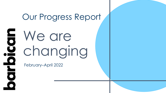# Our Progress Report

 $\overline{\mathbf{5}}$ We are  $\underline{\mathbf{Q}}$ changing

February–April 2022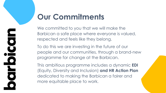## **Our Commitments**

We committed to you that we will make the Barbican a safe place where everyone is valued, respected and feels like they belong.

To do this we are investing in the future of our people and our communities, through a brand-new programme for change at the Barbican.

This ambitious programme includes a dynamic **EDI** (Equity, Diversity and Inclusion) **and HR Action Plan**  dedicated to making the Barbican a fairer and more equitable place to work.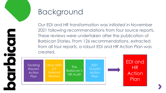

## Background

Our EDI and HR transformation was initiated in November 2021 following recommendations from four source reports. These reviews were undertaken after the publication of Barbican Stories. From 126 recommendations, extracted from all four reports, a robust EDI and HR Action Plan was created.

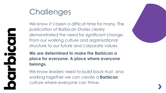## **Challenges**

We know it's been a difficult time for many. The publication of Barbican Stories clearly demonstrated the need for significant change. From our working culture and organisational structure to our future and corporate values.

**We are determined to make the Barbican a place for everyone. A place where everyone belongs.**

We know leaders need to build back trust, and working together we can create a **Barbican**  culture where everyone can thrive.



DOOI  $\overline{\mathbf{O}}$ **NO**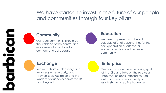We have started to invest in the future of our people and communities through four key pillars

## **Community**

Our local community should be the lifeblood of the centre, and more needs to be done to connect and collaborate.



#### **Education**

We need to present a coherent, valuable offer of opportunities for the next generation of Arts sector workers, creatives and our wider community.

#### **Exchange**

We must share our learnings and knowledge generously, and likewise seek inspiration and the wisdom of our peers across the UK and beyond.

## **Enterprise**

We can draw on the enterprising spirit of the City and take on the role as a 'publisher of ideas' offering cultural entrepreneurs an opportunity to establish their creative businesses.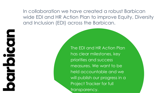In collaboration we have created a robust Barbican wide EDI and HR Action Plan to improve Equity, Diversity and Inclusion (EDI) across the Barbican.

**CCOD** 

 $\overline{\textbf{C}}$ 

 $\overline{\phantom{0}}$ 

 $\overline{\bullet}$ 

The EDI and HR Action Plan has clear milestones, key priorities and success measures. We want to be held accountable and we will publish our progress in a Project Tracker for full transparency.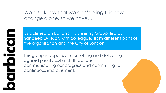We also know that we can't bring this new change alone, so we have…

DICOIC

Established an EDI and HR Steering Group, led by Sandeep Dwesar, with colleagues from different parts of the organisation and the City of London

This group is responsible for setting and delivering agreed priority EDI and HR actions, communicating our progress and committing to continuous improvement.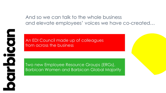And so we can talk to the whole business and elevate employees' voices we have co-created…



An EDI Council made up of colleagues from across the business

Two new Employee Resource Groups (ERGs), Barbican Women and Barbican Global Majority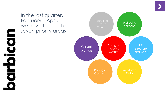$\blacksquare$  $\overline{\textbf{C}}$ <u>Ŭ</u> O  $\blacksquare$  $\overline{\bullet}$ 



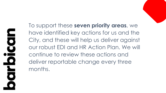To support these **seven priority areas**, we have identified key actions for us and the City, and these will help us deliver against our robust EDI and HR Action Plan. We will continue to review these actions and deliver reportable change every three months.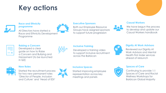## **Key actions**



#### **Race and Ethnicity programme**

All Directors have started a Race and Ethnicity Development Programme



#### **Executive Sponsors**

Both our Employee Resource Groups have assigned sponsors to support future progression

#### **Casual Workers**

We have begun the process to develop and update our Casual Workers handbook

| <b>Service Service</b> |  |
|------------------------|--|

**Raising a Concern** Developed a clear guide on how to Raise a Concern and Bullying and Harassment (to be launched in  $Q2$ 



#### **Inclusive Training**

Developed a training video to support inclusive recruitment across the Barbican



#### **Dignity At Work Advisors**

Reviewed our Dignity At Work Advisors and Mental Health First Aider services ahead of relaunch

#### **New Roles**





#### **Inclusive Spaces**

Started improving employee representation across key meetings and panels



#### **Spaces of Care**

Continuing to provide 1:1 Spaces of Care and Racial Wellness Workshops for Barbican Global Majority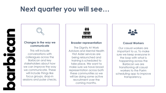## **Next quarter you will see…**



#### **Changes in the way we communicate**

This will include conversations with colleagues across the Barbican and key stakeholders about how we can improve the way we communicate. These will include things like focus groups, drop-in sessions and pulse checks.



#### **Broader representation**

The Dignity At Work Advisors and Mental Health First Aider services are being relaunched and training is scheduled to take place. We want to make sure we have broad representation across both these communities so we will be doing some active recruitment over the coming months.



#### **Casual Workers**

Our casual workers are important to us. To make sure we keep everyone in the loop with what is happening across the Barbican we are transitioning all casual workers to the Parim scheduling app to improve transparency.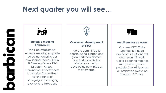## **Next quarter you will see…**





#### **Inclusive Meeting Behaviours**

We'll be establishing inclusive meeting etiquette guidelines ensuring our new shared spaces (EDI & HR Steering Group, ERG Directors' Group, Nominations Effectiveness & Inclusion Committee) foster a sense of belonging, encouraging everyone to take part.



#### **Continued development of ERGs**

We are committed to continuing to support and grow Barbican Women and Barbican Global Majority, as well as developing new ERGs as they emerge.



#### **An all employee event**

Our new CEO Claire Spencer is a huge advocate of EDI and will champion this work. Claire is keen to meet as many colleagues as possible. She will lead an all-employee event, on Thursday 26<sup>th</sup> May.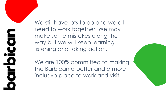$\Box$ **DO** O  $\blacktriangleright$  $\overline{\bullet}$ 

We still have lots to do and we all need to work together. We may make some mistakes along the way but we will keep learning, listening and taking action.

We are 100% committed to making the Barbican a better and a more inclusive place to work and visit.